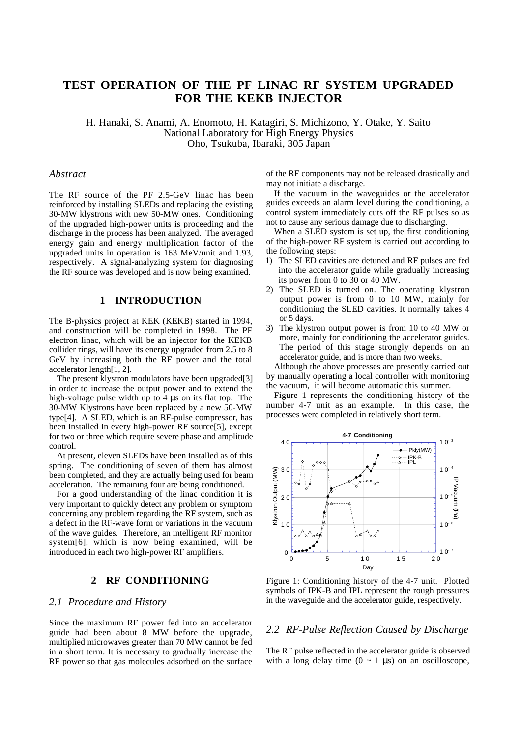# **TEST OPERATION OF THE PF LINAC RF SYSTEM UPGRADED FOR THE KEKB INJECTOR**

H. Hanaki, S. Anami, A. Enomoto, H. Katagiri, S. Michizono, Y. Otake, Y. Saito National Laboratory for High Energy Physics Oho, Tsukuba, Ibaraki, 305 Japan

#### *Abstract*

The RF source of the PF 2.5-GeV linac has been reinforced by installing SLEDs and replacing the existing 30-MW klystrons with new 50-MW ones. Conditioning of the upgraded high-power units is proceeding and the discharge in the process has been analyzed. The averaged energy gain and energy multiplication factor of the upgraded units in operation is 163 MeV/unit and 1.93, respectively. A signal-analyzing system for diagnosing the RF source was developed and is now being examined.

### **1 INTRODUCTION**

The B-physics project at KEK (KEKB) started in 1994, and construction will be completed in 1998. The PF electron linac, which will be an injector for the KEKB collider rings, will have its energy upgraded from 2.5 to 8 GeV by increasing both the RF power and the total accelerator length[1, 2].

The present klystron modulators have been upgraded[3] in order to increase the output power and to extend the high-voltage pulse width up to 4 µs on its flat top. The 30-MW Klystrons have been replaced by a new 50-MW type[4]. A SLED, which is an RF-pulse compressor, has been installed in every high-power RF source[5], except for two or three which require severe phase and amplitude control.

At present, eleven SLEDs have been installed as of this spring. The conditioning of seven of them has almost been completed, and they are actually being used for beam acceleration. The remaining four are being conditioned.

For a good understanding of the linac condition it is very important to quickly detect any problem or symptom concerning any problem regarding the RF system, such as a defect in the RF-wave form or variations in the vacuum of the wave guides. Therefore, an intelligent RF monitor system[6], which is now being examined, will be introduced in each two high-power RF amplifiers.

# **2 RF CONDITIONING**

#### *2.1 Procedure and History*

Since the maximum RF power fed into an accelerator guide had been about 8 MW before the upgrade, multiplied microwaves greater than 70 MW cannot be fed in a short term. It is necessary to gradually increase the RF power so that gas molecules adsorbed on the surface of the RF components may not be released drastically and may not initiate a discharge.

If the vacuum in the waveguides or the accelerator guides exceeds an alarm level during the conditioning, a control system immediately cuts off the RF pulses so as not to cause any serious damage due to discharging.

When a SLED system is set up, the first conditioning of the high-power RF system is carried out according to the following steps:

- 1) The SLED cavities are detuned and RF pulses are fed into the accelerator guide while gradually increasing its power from 0 to 30 or 40 MW.
- 2) The SLED is turned on. The operating klystron output power is from 0 to 10 MW, mainly for conditioning the SLED cavities. It normally takes 4 or 5 days.
- 3) The klystron output power is from 10 to 40 MW or more, mainly for conditioning the accelerator guides. The period of this stage strongly depends on an accelerator guide, and is more than two weeks.

Although the above processes are presently carried out by manually operating a local controller with monitoring the vacuum, it will become automatic this summer.

Figure 1 represents the conditioning history of the number 4-7 unit as an example. In this case, the processes were completed in relatively short term.



Figure 1: Conditioning history of the 4-7 unit. Plotted symbols of IPK-B and IPL represent the rough pressures in the waveguide and the accelerator guide, respectively.

#### *2.2 RF-Pulse Reflection Caused by Discharge*

The RF pulse reflected in the accelerator guide is observed with a long delay time  $(0 \sim 1 \text{ \mu s})$  on an oscilloscope,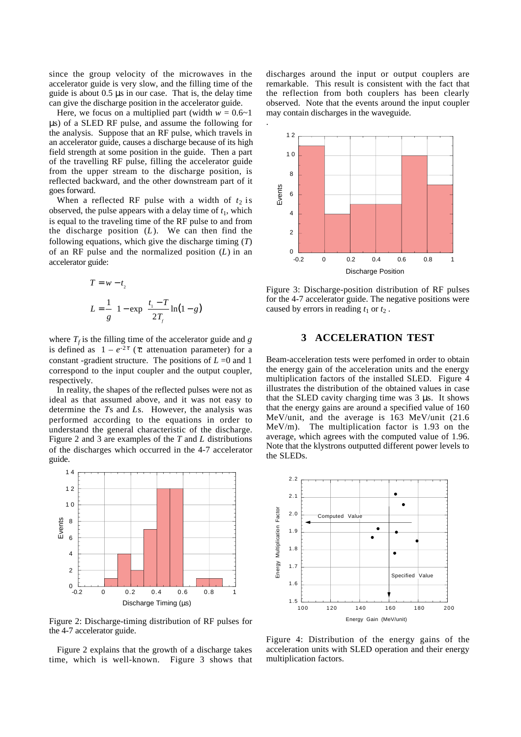since the group velocity of the microwaves in the accelerator guide is very slow, and the filling time of the guide is about 0.5 µs in our case. That is, the delay time can give the discharge position in the accelerator guide.

Here, we focus on a multiplied part (width  $w = 0.6 \sim 1$ ) µs) of a SLED RF pulse, and assume the following for the analysis. Suppose that an RF pulse, which travels in an accelerator guide, causes a discharge because of its high field strength at some position in the guide. Then a part of the travelling RF pulse, filling the accelerator guide from the upper stream to the discharge position, is reflected backward, and the other downstream part of it goes forward.

When a reflected RF pulse with a width of  $t_2$  is observed, the pulse appears with a delay time of  $t_1$ , which is equal to the traveling time of the RF pulse to and from the discharge position (*L*). We can then find the following equations, which give the discharge timing (*T*) of an RF pulse and the normalized position (*L*) in an accelerator guide:

$$
T = w - t_2
$$
  
\n
$$
L = \frac{1}{g} \left[ 1 - \exp\left(\frac{t_1 - T}{2T_f} \ln(1 - g)\right) \right]
$$

where  $T_f$  is the filling time of the accelerator guide and *g* is defined as  $1 - e^{-2\tau}$  (*τ*: attenuation parameter) for a constant -gradient structure. The positions of  $L = 0$  and 1 correspond to the input coupler and the output coupler, respectively.

In reality, the shapes of the reflected pulses were not as ideal as that assumed above, and it was not easy to determine the *T*s and *L*s. However, the analysis was performed according to the equations in order to understand the general characteristic of the discharge. Figure 2 and 3 are examples of the *T* and *L* distributions of the discharges which occurred in the 4-7 accelerator guide.



Figure 2: Discharge-timing distribution of RF pulses for the 4-7 accelerator guide.

Figure 2 explains that the growth of a discharge takes time, which is well-known. Figure 3 shows that discharges around the input or output couplers are remarkable. This result is consistent with the fact that the reflection from both couplers has been clearly observed. Note that the events around the input coupler may contain discharges in the waveguide.



Figure 3: Discharge-position distribution of RF pulses for the 4-7 accelerator guide. The negative positions were caused by errors in reading  $t_1$  or  $t_2$ .

## **3 ACCELERATION TEST**

Beam-acceleration tests were perfomed in order to obtain the energy gain of the acceleration units and the energy multiplication factors of the installed SLED. Figure 4 illustrates the distribution of the obtained values in case that the SLED cavity charging time was 3 µs. It shows that the energy gains are around a specified value of 160 MeV/unit, and the average is 163 MeV/unit (21.6 MeV/m). The multiplication factor is 1.93 on the average, which agrees with the computed value of 1.96. Note that the klystrons outputted different power levels to the SLEDs.



Figure 4: Distribution of the energy gains of the acceleration units with SLED operation and their energy multiplication factors.